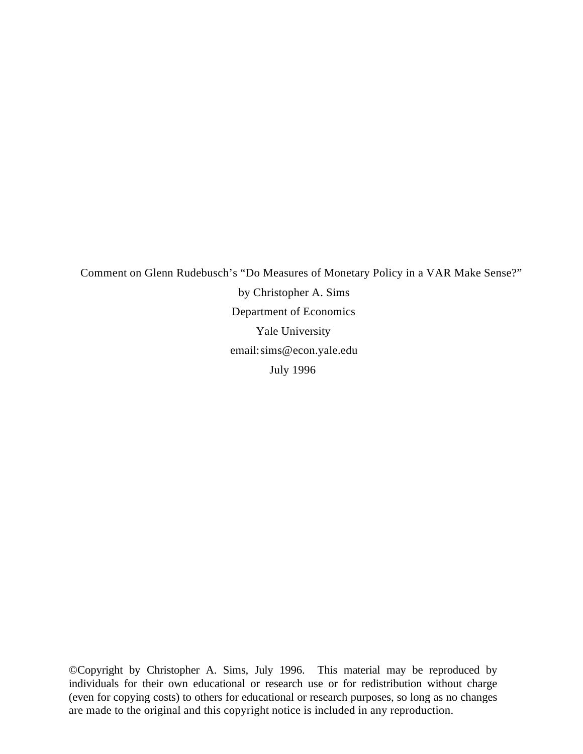Comment on Glenn Rudebusch's "Do Measures of Monetary Policy in a VAR Make Sense?" by Christopher A. Sims Department of Economics Yale University email: sims@econ.yale.edu July 1996

©Copyright by Christopher A. Sims, July 1996. This material may be reproduced by individuals for their own educational or research use or for redistribution without charge (even for copying costs) to others for educational or research purposes, so long as no changes are made to the original and this copyright notice is included in any reproduction.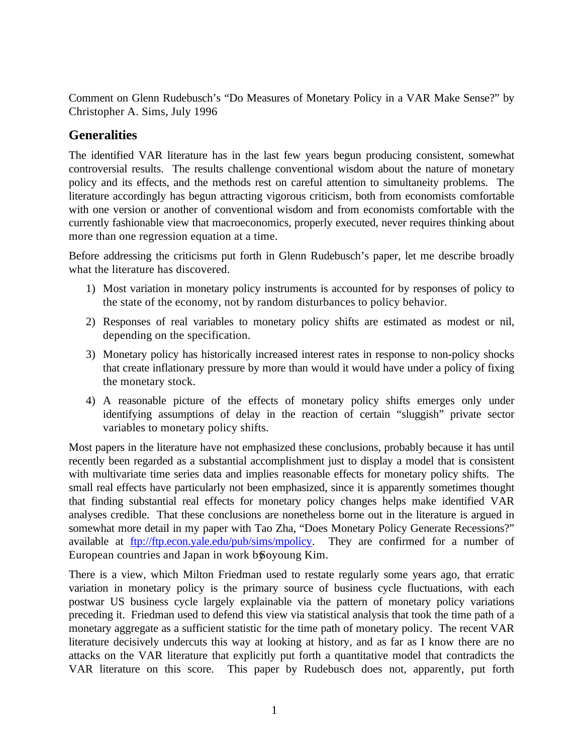Comment on Glenn Rudebusch's "Do Measures of Monetary Policy in a VAR Make Sense?" by Christopher A. Sims, July 1996

# **Generalities**

The identified VAR literature has in the last few years begun producing consistent, somewhat controversial results. The results challenge conventional wisdom about the nature of monetary policy and its effects, and the methods rest on careful attention to simultaneity problems. The literature accordingly has begun attracting vigorous criticism, both from economists comfortable with one version or another of conventional wisdom and from economists comfortable with the currently fashionable view that macroeconomics, properly executed, never requires thinking about more than one regression equation at a time.

Before addressing the criticisms put forth in Glenn Rudebusch's paper, let me describe broadly what the literature has discovered.

- 1) Most variation in monetary policy instruments is accounted for by responses of policy to the state of the economy, not by random disturbances to policy behavior.
- 2) Responses of real variables to monetary policy shifts are estimated as modest or nil, depending on the specification.
- 3) Monetary policy has historically increased interest rates in response to non-policy shocks that create inflationary pressure by more than would it would have under a policy of fixing the monetary stock.
- 4) A reasonable picture of the effects of monetary policy shifts emerges only under identifying assumptions of delay in the reaction of certain "sluggish" private sector variables to monetary policy shifts.

Most papers in the literature have not emphasized these conclusions, probably because it has until recently been regarded as a substantial accomplishment just to display a model that is consistent with multivariate time series data and implies reasonable effects for monetary policy shifts. The small real effects have particularly not been emphasized, since it is apparently sometimes thought that finding substantial real effects for monetary policy changes helps make identified VAR analyses credible. That these conclusions are nonetheless borne out in the literature is argued in somewhat more detail in my paper with Tao Zha, "Does Monetary Policy Generate Recessions?" available at ftp://ftp.econ.yale.edu/pub/sims/mpolicy. They are confirmed for a number of European countries and Japan in work by Soyoung Kim.

There is a view, which Milton Friedman used to restate regularly some years ago, that erratic variation in monetary policy is the primary source of business cycle fluctuations, with each postwar US business cycle largely explainable via the pattern of monetary policy variations preceding it. Friedman used to defend this view via statistical analysis that took the time path of a monetary aggregate as a sufficient statistic for the time path of monetary policy. The recent VAR literature decisively undercuts this way at looking at history, and as far as I know there are no attacks on the VAR literature that explicitly put forth a quantitative model that contradicts the VAR literature on this score. This paper by Rudebusch does not, apparently, put forth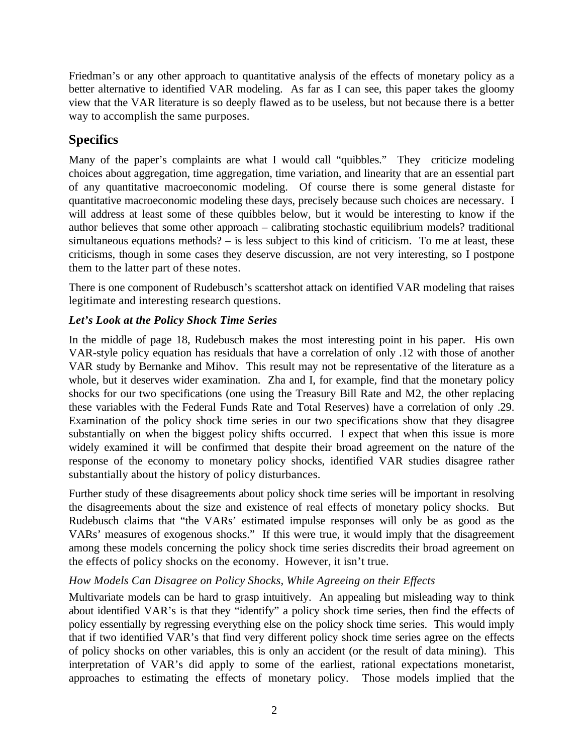Friedman's or any other approach to quantitative analysis of the effects of monetary policy as a better alternative to identified VAR modeling. As far as I can see, this paper takes the gloomy view that the VAR literature is so deeply flawed as to be useless, but not because there is a better way to accomplish the same purposes.

# **Specifics**

Many of the paper's complaints are what I would call "quibbles." They criticize modeling choices about aggregation, time aggregation, time variation, and linearity that are an essential part of any quantitative macroeconomic modeling. Of course there is some general distaste for quantitative macroeconomic modeling these days, precisely because such choices are necessary. I will address at least some of these quibbles below, but it would be interesting to know if the author believes that some other approach – calibrating stochastic equilibrium models? traditional simultaneous equations methods? – is less subject to this kind of criticism. To me at least, these criticisms, though in some cases they deserve discussion, are not very interesting, so I postpone them to the latter part of these notes.

There is one component of Rudebusch's scattershot attack on identified VAR modeling that raises legitimate and interesting research questions.

# *Let's Look at the Policy Shock Time Series*

In the middle of page 18, Rudebusch makes the most interesting point in his paper. His own VAR-style policy equation has residuals that have a correlation of only .12 with those of another VAR study by Bernanke and Mihov. This result may not be representative of the literature as a whole, but it deserves wider examination. Zha and I, for example, find that the monetary policy shocks for our two specifications (one using the Treasury Bill Rate and M2, the other replacing these variables with the Federal Funds Rate and Total Reserves) have a correlation of only .29. Examination of the policy shock time series in our two specifications show that they disagree substantially on when the biggest policy shifts occurred. I expect that when this issue is more widely examined it will be confirmed that despite their broad agreement on the nature of the response of the economy to monetary policy shocks, identified VAR studies disagree rather substantially about the history of policy disturbances.

Further study of these disagreements about policy shock time series will be important in resolving the disagreements about the size and existence of real effects of monetary policy shocks. But Rudebusch claims that "the VARs' estimated impulse responses will only be as good as the VARs' measures of exogenous shocks." If this were true, it would imply that the disagreement among these models concerning the policy shock time series discredits their broad agreement on the effects of policy shocks on the economy. However, it isn't true.

## *How Models Can Disagree on Policy Shocks, While Agreeing on their Effects*

Multivariate models can be hard to grasp intuitively. An appealing but misleading way to think about identified VAR's is that they "identify" a policy shock time series, then find the effects of policy essentially by regressing everything else on the policy shock time series. This would imply that if two identified VAR's that find very different policy shock time series agree on the effects of policy shocks on other variables, this is only an accident (or the result of data mining). This interpretation of VAR's did apply to some of the earliest, rational expectations monetarist, approaches to estimating the effects of monetary policy. Those models implied that the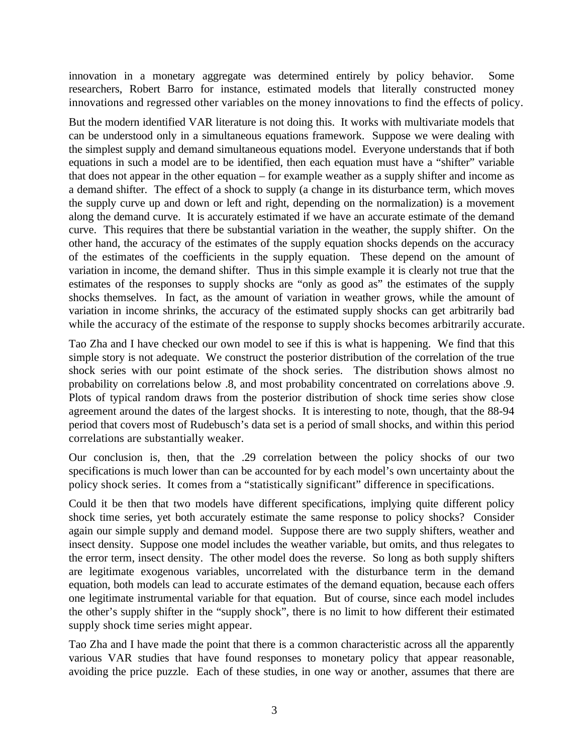innovation in a monetary aggregate was determined entirely by policy behavior. Some researchers, Robert Barro for instance, estimated models that literally constructed money innovations and regressed other variables on the money innovations to find the effects of policy.

But the modern identified VAR literature is not doing this. It works with multivariate models that can be understood only in a simultaneous equations framework. Suppose we were dealing with the simplest supply and demand simultaneous equations model. Everyone understands that if both equations in such a model are to be identified, then each equation must have a "shifter" variable that does not appear in the other equation – for example weather as a supply shifter and income as a demand shifter. The effect of a shock to supply (a change in its disturbance term, which moves the supply curve up and down or left and right, depending on the normalization) is a movement along the demand curve. It is accurately estimated if we have an accurate estimate of the demand curve. This requires that there be substantial variation in the weather, the supply shifter. On the other hand, the accuracy of the estimates of the supply equation shocks depends on the accuracy of the estimates of the coefficients in the supply equation. These depend on the amount of variation in income, the demand shifter. Thus in this simple example it is clearly not true that the estimates of the responses to supply shocks are "only as good as" the estimates of the supply shocks themselves. In fact, as the amount of variation in weather grows, while the amount of variation in income shrinks, the accuracy of the estimated supply shocks can get arbitrarily bad while the accuracy of the estimate of the response to supply shocks becomes arbitrarily accurate.

Tao Zha and I have checked our own model to see if this is what is happening. We find that this simple story is not adequate. We construct the posterior distribution of the correlation of the true shock series with our point estimate of the shock series. The distribution shows almost no probability on correlations below .8, and most probability concentrated on correlations above .9. Plots of typical random draws from the posterior distribution of shock time series show close agreement around the dates of the largest shocks. It is interesting to note, though, that the 88-94 period that covers most of Rudebusch's data set is a period of small shocks, and within this period correlations are substantially weaker.

Our conclusion is, then, that the .29 correlation between the policy shocks of our two specifications is much lower than can be accounted for by each model's own uncertainty about the policy shock series. It comes from a "statistically significant" difference in specifications.

Could it be then that two models have different specifications, implying quite different policy shock time series, yet both accurately estimate the same response to policy shocks? Consider again our simple supply and demand model. Suppose there are two supply shifters, weather and insect density. Suppose one model includes the weather variable, but omits, and thus relegates to the error term, insect density. The other model does the reverse. So long as both supply shifters are legitimate exogenous variables, uncorrelated with the disturbance term in the demand equation, both models can lead to accurate estimates of the demand equation, because each offers one legitimate instrumental variable for that equation. But of course, since each model includes the other's supply shifter in the "supply shock", there is no limit to how different their estimated supply shock time series might appear.

Tao Zha and I have made the point that there is a common characteristic across all the apparently various VAR studies that have found responses to monetary policy that appear reasonable, avoiding the price puzzle. Each of these studies, in one way or another, assumes that there are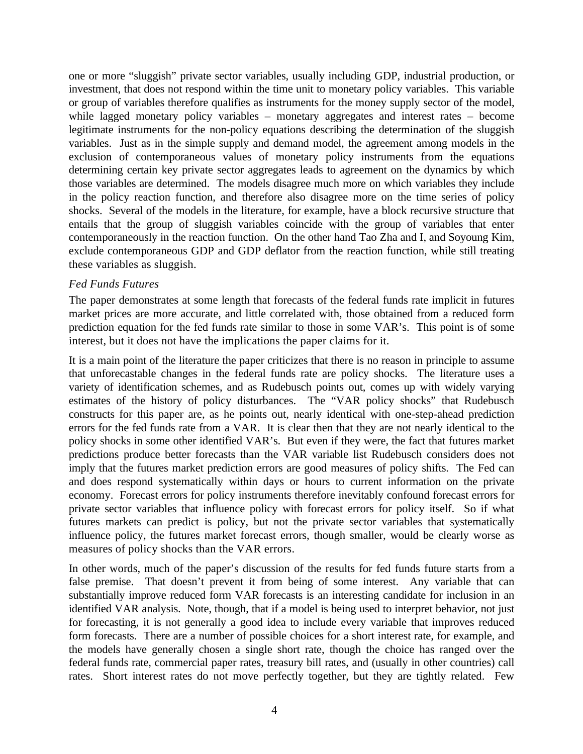one or more "sluggish" private sector variables, usually including GDP, industrial production, or investment, that does not respond within the time unit to monetary policy variables. This variable or group of variables therefore qualifies as instruments for the money supply sector of the model, while lagged monetary policy variables – monetary aggregates and interest rates – become legitimate instruments for the non-policy equations describing the determination of the sluggish variables. Just as in the simple supply and demand model, the agreement among models in the exclusion of contemporaneous values of monetary policy instruments from the equations determining certain key private sector aggregates leads to agreement on the dynamics by which those variables are determined. The models disagree much more on which variables they include in the policy reaction function, and therefore also disagree more on the time series of policy shocks. Several of the models in the literature, for example, have a block recursive structure that entails that the group of sluggish variables coincide with the group of variables that enter contemporaneously in the reaction function. On the other hand Tao Zha and I, and Soyoung Kim, exclude contemporaneous GDP and GDP deflator from the reaction function, while still treating these variables as sluggish.

#### *Fed Funds Futures*

The paper demonstrates at some length that forecasts of the federal funds rate implicit in futures market prices are more accurate, and little correlated with, those obtained from a reduced form prediction equation for the fed funds rate similar to those in some VAR's. This point is of some interest, but it does not have the implications the paper claims for it.

It is a main point of the literature the paper criticizes that there is no reason in principle to assume that unforecastable changes in the federal funds rate are policy shocks. The literature uses a variety of identification schemes, and as Rudebusch points out, comes up with widely varying estimates of the history of policy disturbances. The "VAR policy shocks" that Rudebusch constructs for this paper are, as he points out, nearly identical with one-step-ahead prediction errors for the fed funds rate from a VAR. It is clear then that they are not nearly identical to the policy shocks in some other identified VAR's. But even if they were, the fact that futures market predictions produce better forecasts than the VAR variable list Rudebusch considers does not imply that the futures market prediction errors are good measures of policy shifts. The Fed can and does respond systematically within days or hours to current information on the private economy. Forecast errors for policy instruments therefore inevitably confound forecast errors for private sector variables that influence policy with forecast errors for policy itself. So if what futures markets can predict is policy, but not the private sector variables that systematically influence policy, the futures market forecast errors, though smaller, would be clearly worse as measures of policy shocks than the VAR errors.

In other words, much of the paper's discussion of the results for fed funds future starts from a false premise. That doesn't prevent it from being of some interest. Any variable that can substantially improve reduced form VAR forecasts is an interesting candidate for inclusion in an identified VAR analysis. Note, though, that if a model is being used to interpret behavior, not just for forecasting, it is not generally a good idea to include every variable that improves reduced form forecasts. There are a number of possible choices for a short interest rate, for example, and the models have generally chosen a single short rate, though the choice has ranged over the federal funds rate, commercial paper rates, treasury bill rates, and (usually in other countries) call rates. Short interest rates do not move perfectly together, but they are tightly related. Few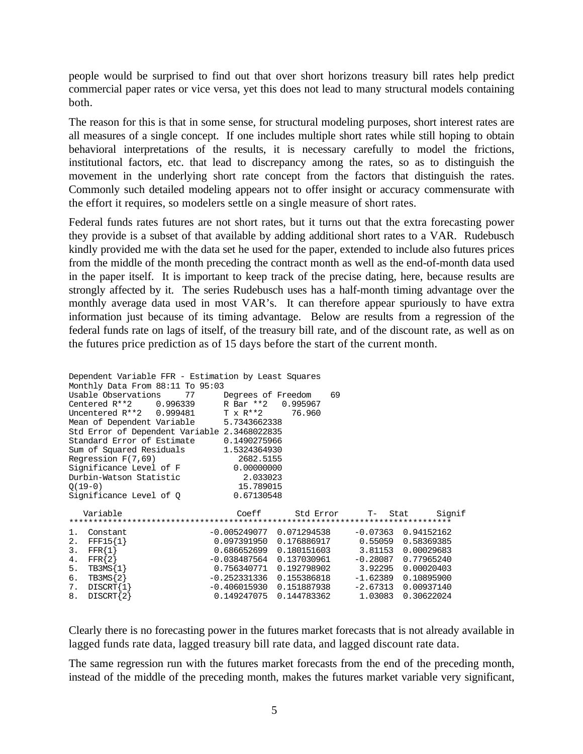people would be surprised to find out that over short horizons treasury bill rates help predict commercial paper rates or vice versa, yet this does not lead to many structural models containing both.

The reason for this is that in some sense, for structural modeling purposes, short interest rates are all measures of a single concept. If one includes multiple short rates while still hoping to obtain behavioral interpretations of the results, it is necessary carefully to model the frictions, institutional factors, etc. that lead to discrepancy among the rates, so as to distinguish the movement in the underlying short rate concept from the factors that distinguish the rates. Commonly such detailed modeling appears not to offer insight or accuracy commensurate with the effort it requires, so modelers settle on a single measure of short rates.

Federal funds rates futures are not short rates, but it turns out that the extra forecasting power they provide is a subset of that available by adding additional short rates to a VAR. Rudebusch kindly provided me with the data set he used for the paper, extended to include also futures prices from the middle of the month preceding the contract month as well as the end-of-month data used in the paper itself. It is important to keep track of the precise dating, here, because results are strongly affected by it. The series Rudebusch uses has a half-month timing advantage over the monthly average data used in most VAR's. It can therefore appear spuriously to have extra information just because of its timing advantage. Below are results from a regression of the federal funds rate on lags of itself, of the treasury bill rate, and of the discount rate, as well as on the futures price prediction as of 15 days before the start of the current month.

| Dependent Variable FFR - Estimation by Least Squares |                              |           |                                                                 |                       |
|------------------------------------------------------|------------------------------|-----------|-----------------------------------------------------------------|-----------------------|
| Monthly Data From 88:11 To 95:03                     |                              |           |                                                                 |                       |
| Usable Observations                                  | 77 Degrees of Freedom        |           | 69                                                              |                       |
| Centered R**2 0.996339 R Bar **2                     |                              | 0.995967  |                                                                 |                       |
| Uncentered $R^{**}2$ 0.999481 T x $R^{**}2$          |                              | 76.960    |                                                                 |                       |
| Mean of Dependent Variable 5.7343662338              |                              |           |                                                                 |                       |
| Std Error of Dependent Variable 2.3468022835         |                              |           |                                                                 |                       |
| Standard Error of Estimate 0.1490275966              |                              |           |                                                                 |                       |
| Sum of Squared Residuals 1.5324364930                |                              |           |                                                                 |                       |
| Regression $F(7,69)$                                 | 2682.5155                    |           |                                                                 |                       |
| Significance Level of F                              | 0.00000000                   |           |                                                                 |                       |
| Durbin-Watson Statistic                              | 2.033023                     |           |                                                                 |                       |
| $O(19-0)$                                            | 15.789015                    |           |                                                                 |                       |
| Significance Level of Q                              | 0.67130548                   |           |                                                                 |                       |
|                                                      |                              |           |                                                                 |                       |
| Variable                                             | Coeff                        | Std Error | $T-$                                                            | Signif<br>Stat        |
|                                                      |                              |           |                                                                 |                       |
| 1.<br>Constant                                       | $-0.005249077$ 0.071294538   |           |                                                                 | $-0.07363$ 0.94152162 |
| 2. FFF15 $\{1\}$                                     |                              |           | $0.097391950 \quad 0.176886917 \qquad 0.55059 \quad 0.58369385$ |                       |
| 3.<br>$FFR{1}$                                       | 0.686652699   0.180151603    |           |                                                                 | 3.81153 0.00029683    |
| 4. $FFR{2}$                                          | $-0.038487564$ 0.137030961   |           | $-0.28087$                                                      | 0.77965240            |
| $TBSMS{1}$<br>5.                                     |                              |           | 3.92295                                                         | 0.00020403            |
| 6.<br>$TBSMS{2}$                                     | $-0.252331336$ $0.155386818$ |           |                                                                 | $-1.62389$ 0.10895900 |
| $DIST{1}$<br>7.                                      | $-0.406015930$ $0.151887938$ |           |                                                                 | $-2.67313$ 0.00937140 |
| 8.<br>$DIST{2}$                                      |                              |           | $0.149247075$ $0.144783362$ $1.03083$                           | 0.30622024            |

Clearly there is no forecasting power in the futures market forecasts that is not already available in lagged funds rate data, lagged treasury bill rate data, and lagged discount rate data.

The same regression run with the futures market forecasts from the end of the preceding month, instead of the middle of the preceding month, makes the futures market variable very significant,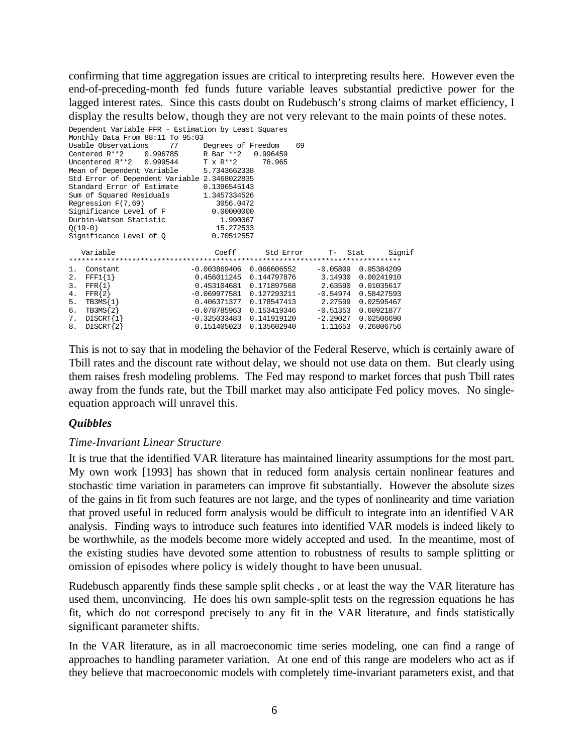confirming that time aggregation issues are critical to interpreting results here. However even the end-of-preceding-month fed funds future variable leaves substantial predictive power for the lagged interest rates. Since this casts doubt on Rudebusch's strong claims of market efficiency, I display the results below, though they are not very relevant to the main points of these notes.

```
Dependent Variable FFR - Estimation by Least Squares
Monthly Data From 88:11 To 95:03
Usable Observations 77 Degrees of Freedom 69<br>Centered R**2 0.996785 R Bar **2 0.996459
                  0.996785 R Bar **2 0.996459<br>0.999544 T x R**2 76.965
Uncentered R^{**}2 0.999544 T x R^{**}2 76.965<br>Mean of Dependent Variable 5.7343662338
Mean of Dependent Variable
Std Error of Dependent Variable 2.3468022835<br>Standard Error of Estimate 0 1396545143
Standard Error of Estimate
Sum of Squared Residuals 1.3457334526<br>Reqression F(7,69) 3056.0472
Regression F(7,69) 3056.0472<br>Significance Level of F 0.00000000
Significance Level of F.
Durbin-Watson Statistic 1.990067
Q(19-0) 15.272533
Significance Level of 0
 Variable Coeff Std Error T- Stat Signif
*******************************************************************************
\begin{tabular}{lcccccc} 1. & Constant & -0.003869406 & 0.066606552 & -0.05809 & 0.95384209 \\ 2. & FFF1\{1\} & 0.456011245 & 0.144797876 & 3.14930 & 0.00241910 \\ 3. & FFR\{1\} & 0.453104681 & 0.171897568 & 2.63590 & 0.01035617 \end{tabular}2. FFF1{1} 0.456011245 0.144797876 3.14930 0.00241910
3. FFR{1} 0.453104681 0.171897568 2.63590 0.01035617
4. FFR{2} -0.069977581 0.127293211 -0.54974 0.58427593
5. TB3MS{1} 0.406371377 0.178547413 2.27599 0.02595467
6. TB3MS{2} -0.078785963 0.153419346 -0.51353 0.60921877
7. DISCRT{1} -0.325033483 0.141919120 -2.29027 0.02506690
8. DISCRT{2} 0.151405023 0.135602940 1.11653 0.26806756
```
This is not to say that in modeling the behavior of the Federal Reserve, which is certainly aware of Tbill rates and the discount rate without delay, we should not use data on them. But clearly using them raises fresh modeling problems. The Fed may respond to market forces that push Tbill rates away from the funds rate, but the Tbill market may also anticipate Fed policy moves. No singleequation approach will unravel this.

## *Quibbles*

## *Time-Invariant Linear Structure*

It is true that the identified VAR literature has maintained linearity assumptions for the most part. My own work [1993] has shown that in reduced form analysis certain nonlinear features and stochastic time variation in parameters can improve fit substantially. However the absolute sizes of the gains in fit from such features are not large, and the types of nonlinearity and time variation that proved useful in reduced form analysis would be difficult to integrate into an identified VAR analysis. Finding ways to introduce such features into identified VAR models is indeed likely to be worthwhile, as the models become more widely accepted and used. In the meantime, most of the existing studies have devoted some attention to robustness of results to sample splitting or omission of episodes where policy is widely thought to have been unusual.

Rudebusch apparently finds these sample split checks , or at least the way the VAR literature has used them, unconvincing. He does his own sample-split tests on the regression equations he has fit, which do not correspond precisely to any fit in the VAR literature, and finds statistically significant parameter shifts.

In the VAR literature, as in all macroeconomic time series modeling, one can find a range of approaches to handling parameter variation. At one end of this range are modelers who act as if they believe that macroeconomic models with completely time-invariant parameters exist, and that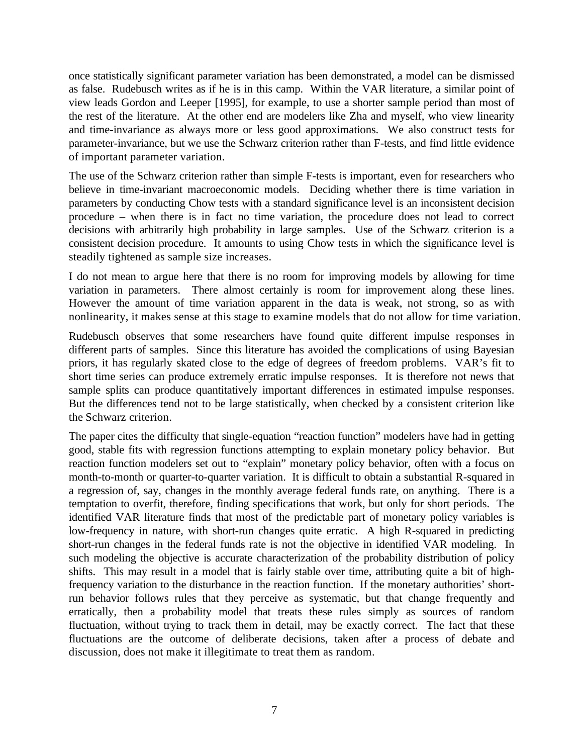once statistically significant parameter variation has been demonstrated, a model can be dismissed as false. Rudebusch writes as if he is in this camp. Within the VAR literature, a similar point of view leads Gordon and Leeper [1995], for example, to use a shorter sample period than most of the rest of the literature. At the other end are modelers like Zha and myself, who view linearity and time-invariance as always more or less good approximations. We also construct tests for parameter-invariance, but we use the Schwarz criterion rather than F-tests, and find little evidence of important parameter variation.

The use of the Schwarz criterion rather than simple F-tests is important, even for researchers who believe in time-invariant macroeconomic models. Deciding whether there is time variation in parameters by conducting Chow tests with a standard significance level is an inconsistent decision procedure – when there is in fact no time variation, the procedure does not lead to correct decisions with arbitrarily high probability in large samples. Use of the Schwarz criterion is a consistent decision procedure. It amounts to using Chow tests in which the significance level is steadily tightened as sample size increases.

I do not mean to argue here that there is no room for improving models by allowing for time variation in parameters. There almost certainly is room for improvement along these lines. However the amount of time variation apparent in the data is weak, not strong, so as with nonlinearity, it makes sense at this stage to examine models that do not allow for time variation.

Rudebusch observes that some researchers have found quite different impulse responses in different parts of samples. Since this literature has avoided the complications of using Bayesian priors, it has regularly skated close to the edge of degrees of freedom problems. VAR's fit to short time series can produce extremely erratic impulse responses. It is therefore not news that sample splits can produce quantitatively important differences in estimated impulse responses. But the differences tend not to be large statistically, when checked by a consistent criterion like the Schwarz criterion.

The paper cites the difficulty that single-equation "reaction function" modelers have had in getting good, stable fits with regression functions attempting to explain monetary policy behavior. But reaction function modelers set out to "explain" monetary policy behavior, often with a focus on month-to-month or quarter-to-quarter variation. It is difficult to obtain a substantial R-squared in a regression of, say, changes in the monthly average federal funds rate, on anything. There is a temptation to overfit, therefore, finding specifications that work, but only for short periods. The identified VAR literature finds that most of the predictable part of monetary policy variables is low-frequency in nature, with short-run changes quite erratic. A high R-squared in predicting short-run changes in the federal funds rate is not the objective in identified VAR modeling. In such modeling the objective is accurate characterization of the probability distribution of policy shifts. This may result in a model that is fairly stable over time, attributing quite a bit of highfrequency variation to the disturbance in the reaction function. If the monetary authorities' shortrun behavior follows rules that they perceive as systematic, but that change frequently and erratically, then a probability model that treats these rules simply as sources of random fluctuation, without trying to track them in detail, may be exactly correct. The fact that these fluctuations are the outcome of deliberate decisions, taken after a process of debate and discussion, does not make it illegitimate to treat them as random.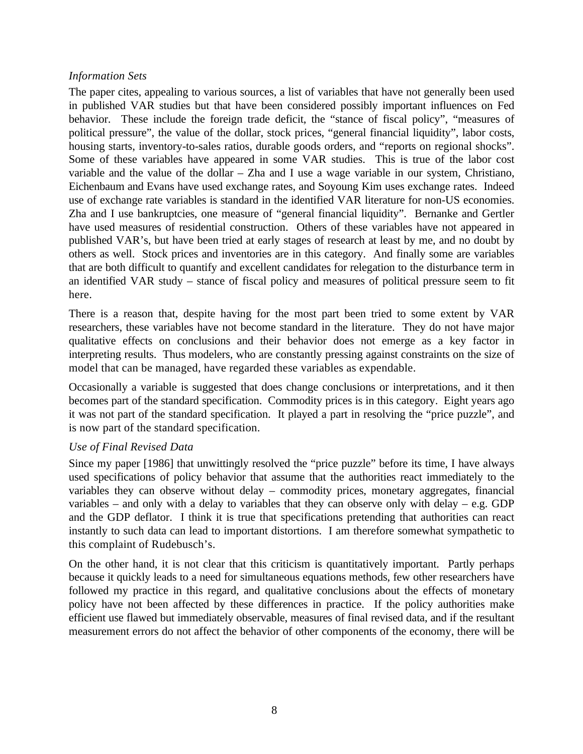#### *Information Sets*

The paper cites, appealing to various sources, a list of variables that have not generally been used in published VAR studies but that have been considered possibly important influences on Fed behavior. These include the foreign trade deficit, the "stance of fiscal policy", "measures of political pressure", the value of the dollar, stock prices, "general financial liquidity", labor costs, housing starts, inventory-to-sales ratios, durable goods orders, and "reports on regional shocks". Some of these variables have appeared in some VAR studies. This is true of the labor cost variable and the value of the dollar – Zha and I use a wage variable in our system, Christiano, Eichenbaum and Evans have used exchange rates, and Soyoung Kim uses exchange rates. Indeed use of exchange rate variables is standard in the identified VAR literature for non-US economies. Zha and I use bankruptcies, one measure of "general financial liquidity". Bernanke and Gertler have used measures of residential construction. Others of these variables have not appeared in published VAR's, but have been tried at early stages of research at least by me, and no doubt by others as well. Stock prices and inventories are in this category. And finally some are variables that are both difficult to quantify and excellent candidates for relegation to the disturbance term in an identified VAR study – stance of fiscal policy and measures of political pressure seem to fit here.

There is a reason that, despite having for the most part been tried to some extent by VAR researchers, these variables have not become standard in the literature. They do not have major qualitative effects on conclusions and their behavior does not emerge as a key factor in interpreting results. Thus modelers, who are constantly pressing against constraints on the size of model that can be managed, have regarded these variables as expendable.

Occasionally a variable is suggested that does change conclusions or interpretations, and it then becomes part of the standard specification. Commodity prices is in this category. Eight years ago it was not part of the standard specification. It played a part in resolving the "price puzzle", and is now part of the standard specification.

## *Use of Final Revised Data*

Since my paper [1986] that unwittingly resolved the "price puzzle" before its time, I have always used specifications of policy behavior that assume that the authorities react immediately to the variables they can observe without delay – commodity prices, monetary aggregates, financial variables – and only with a delay to variables that they can observe only with delay – e.g. GDP and the GDP deflator. I think it is true that specifications pretending that authorities can react instantly to such data can lead to important distortions. I am therefore somewhat sympathetic to this complaint of Rudebusch's.

On the other hand, it is not clear that this criticism is quantitatively important. Partly perhaps because it quickly leads to a need for simultaneous equations methods, few other researchers have followed my practice in this regard, and qualitative conclusions about the effects of monetary policy have not been affected by these differences in practice. If the policy authorities make efficient use flawed but immediately observable, measures of final revised data, and if the resultant measurement errors do not affect the behavior of other components of the economy, there will be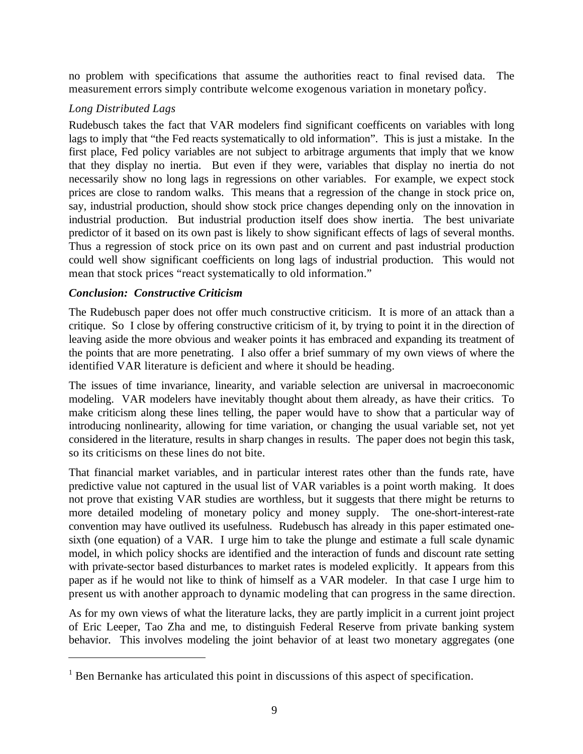no problem with specifications that assume the authorities react to final revised data. The measurement errors simply contribute welcome exogenous variation in monetary policy.

#### *Long Distributed Lags*

Rudebusch takes the fact that VAR modelers find significant coefficents on variables with long lags to imply that "the Fed reacts systematically to old information". This is just a mistake. In the first place, Fed policy variables are not subject to arbitrage arguments that imply that we know that they display no inertia. But even if they were, variables that display no inertia do not necessarily show no long lags in regressions on other variables. For example, we expect stock prices are close to random walks. This means that a regression of the change in stock price on, say, industrial production, should show stock price changes depending only on the innovation in industrial production. But industrial production itself does show inertia. The best univariate predictor of it based on its own past is likely to show significant effects of lags of several months. Thus a regression of stock price on its own past and on current and past industrial production could well show significant coefficients on long lags of industrial production. This would not mean that stock prices "react systematically to old information."

## *Conclusion: Constructive Criticism*

 $\overline{a}$ 

The Rudebusch paper does not offer much constructive criticism. It is more of an attack than a critique. So I close by offering constructive criticism of it, by trying to point it in the direction of leaving aside the more obvious and weaker points it has embraced and expanding its treatment of the points that are more penetrating. I also offer a brief summary of my own views of where the identified VAR literature is deficient and where it should be heading.

The issues of time invariance, linearity, and variable selection are universal in macroeconomic modeling. VAR modelers have inevitably thought about them already, as have their critics. To make criticism along these lines telling, the paper would have to show that a particular way of introducing nonlinearity, allowing for time variation, or changing the usual variable set, not yet considered in the literature, results in sharp changes in results. The paper does not begin this task, so its criticisms on these lines do not bite.

That financial market variables, and in particular interest rates other than the funds rate, have predictive value not captured in the usual list of VAR variables is a point worth making. It does not prove that existing VAR studies are worthless, but it suggests that there might be returns to more detailed modeling of monetary policy and money supply. The one-short-interest-rate convention may have outlived its usefulness. Rudebusch has already in this paper estimated onesixth (one equation) of a VAR. I urge him to take the plunge and estimate a full scale dynamic model, in which policy shocks are identified and the interaction of funds and discount rate setting with private-sector based disturbances to market rates is modeled explicitly. It appears from this paper as if he would not like to think of himself as a VAR modeler. In that case I urge him to present us with another approach to dynamic modeling that can progress in the same direction.

As for my own views of what the literature lacks, they are partly implicit in a current joint project of Eric Leeper, Tao Zha and me, to distinguish Federal Reserve from private banking system behavior. This involves modeling the joint behavior of at least two monetary aggregates (one

<sup>&</sup>lt;sup>1</sup> Ben Bernanke has articulated this point in discussions of this aspect of specification.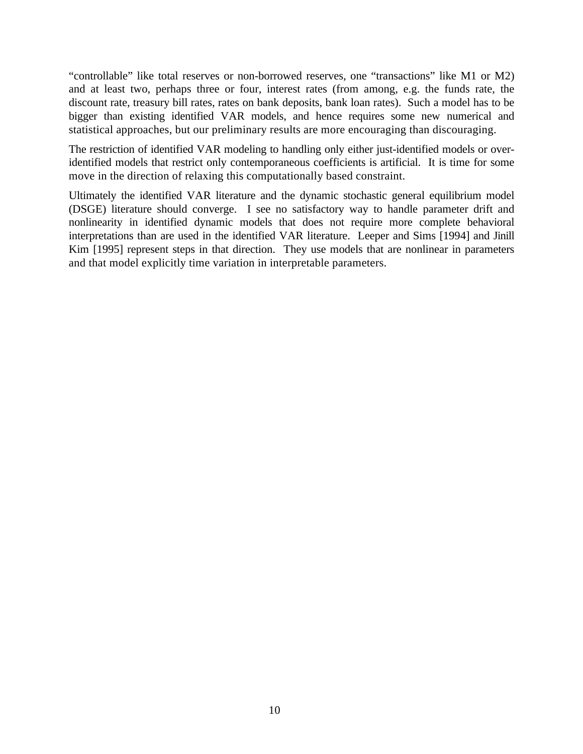"controllable" like total reserves or non-borrowed reserves, one "transactions" like M1 or M2) and at least two, perhaps three or four, interest rates (from among, e.g. the funds rate, the discount rate, treasury bill rates, rates on bank deposits, bank loan rates). Such a model has to be bigger than existing identified VAR models, and hence requires some new numerical and statistical approaches, but our preliminary results are more encouraging than discouraging.

The restriction of identified VAR modeling to handling only either just-identified models or overidentified models that restrict only contemporaneous coefficients is artificial. It is time for some move in the direction of relaxing this computationally based constraint.

Ultimately the identified VAR literature and the dynamic stochastic general equilibrium model (DSGE) literature should converge. I see no satisfactory way to handle parameter drift and nonlinearity in identified dynamic models that does not require more complete behavioral interpretations than are used in the identified VAR literature. Leeper and Sims [1994] and Jinill Kim [1995] represent steps in that direction. They use models that are nonlinear in parameters and that model explicitly time variation in interpretable parameters.